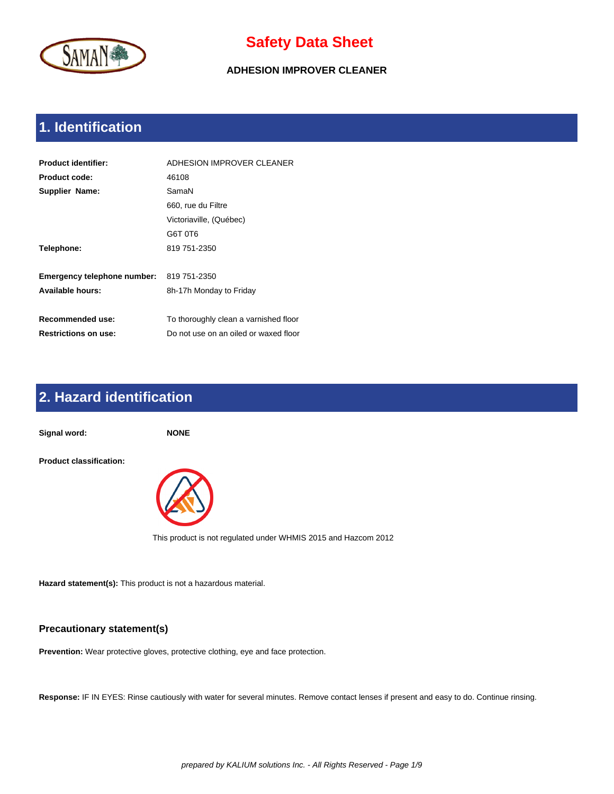

**ADHESION IMPROVER CLEANER**

# **1. Identification**

| <b>Product identifier:</b>  | ADHESION IMPROVER CLEANER             |
|-----------------------------|---------------------------------------|
| Product code:               | 46108                                 |
| <b>Supplier Name:</b>       | SamaN                                 |
|                             | 660, rue du Filtre                    |
|                             | Victoriaville, (Québec)               |
|                             | G6T 0T6                               |
| Telephone:                  | 819 751-2350                          |
|                             |                                       |
| Emergency telephone number: | 819 751-2350                          |
| Available hours:            | 8h-17h Monday to Friday               |
|                             |                                       |
| Recommended use:            | To thoroughly clean a varnished floor |
| <b>Restrictions on use:</b> | Do not use on an oiled or waxed floor |

# **2. Hazard identification**

**Signal word: NONE Product classification:** 



This product is not regulated under WHMIS 2015 and Hazcom 2012

**Hazard statement(s):** This product is not a hazardous material.

#### **Precautionary statement(s)**

**Prevention:** Wear protective gloves, protective clothing, eye and face protection.

**Response:** IF IN EYES: Rinse cautiously with water for several minutes. Remove contact lenses if present and easy to do. Continue rinsing.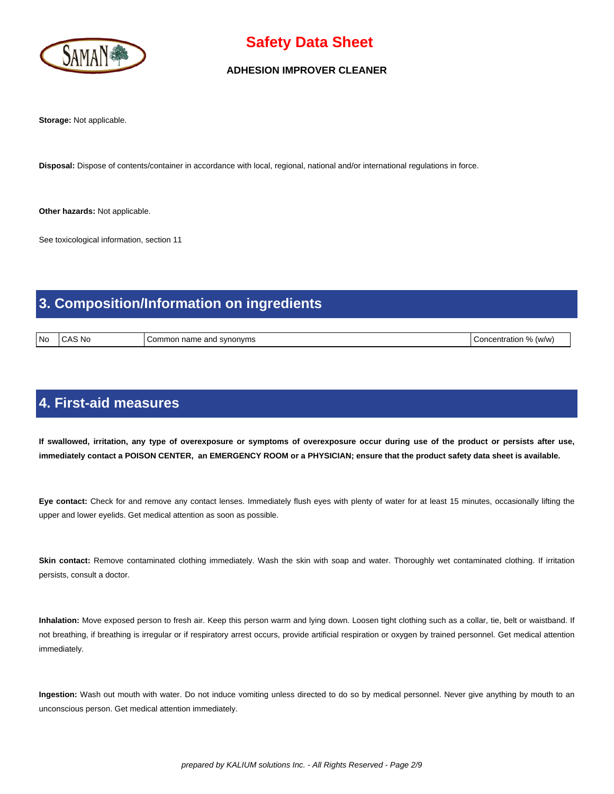

#### **ADHESION IMPROVER CLEANER**

**Storage:** Not applicable.

**Disposal:** Dispose of contents/container in accordance with local, regional, national and/or international regulations in force.

**Other hazards:** Not applicable.

See toxicological information, section 11

## **3. Composition/Information on ingredients**

| l No | . No<br>___ | nd svnonvms<br>… name and<br>Common<br>__ | $\Omega$<br>(w/w<br>`∩ncentration ∶<br>$\sqrt{2}$ |
|------|-------------|-------------------------------------------|---------------------------------------------------|
|------|-------------|-------------------------------------------|---------------------------------------------------|

### **4. First-aid measures**

 **If swallowed, irritation, any type of overexposure or symptoms of overexposure occur during use of the product or persists after use, immediately contact a POISON CENTER, an EMERGENCY ROOM or a PHYSICIAN; ensure that the product safety data sheet is available.**

**Eye contact:** Check for and remove any contact lenses. Immediately flush eyes with plenty of water for at least 15 minutes, occasionally lifting the upper and lower eyelids. Get medical attention as soon as possible.

Skin contact: Remove contaminated clothing immediately. Wash the skin with soap and water. Thoroughly wet contaminated clothing. If irritation persists, consult a doctor.

**Inhalation:** Move exposed person to fresh air. Keep this person warm and lying down. Loosen tight clothing such as a collar, tie, belt or waistband. If not breathing, if breathing is irregular or if respiratory arrest occurs, provide artificial respiration or oxygen by trained personnel. Get medical attention immediately.

**Ingestion:** Wash out mouth with water. Do not induce vomiting unless directed to do so by medical personnel. Never give anything by mouth to an unconscious person. Get medical attention immediately.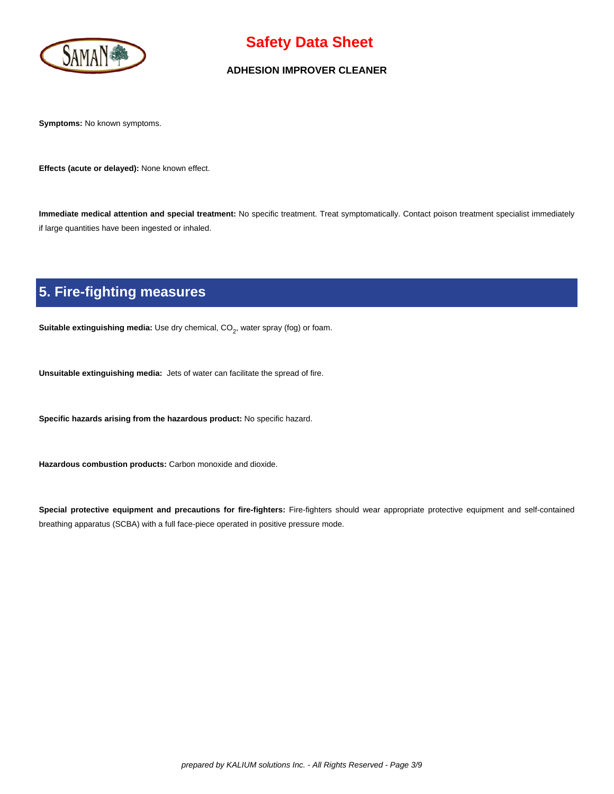

#### **ADHESION IMPROVER CLEANER**

**Symptoms:** No known symptoms.

**Effects (acute or delayed):** None known effect.

**Immediate medical attention and special treatment:** No specific treatment. Treat symptomatically. Contact poison treatment specialist immediately if large quantities have been ingested or inhaled.

# **5. Fire-fighting measures**

**Suitable extinguishing media:** Use dry chemical, CO<sub>2</sub>, water spray (fog) or foam.

**Unsuitable extinguishing media:** Jets of water can facilitate the spread of fire.

**Specific hazards arising from the hazardous product:** No specific hazard.

**Hazardous combustion products:** Carbon monoxide and dioxide.

**Special protective equipment and precautions for fire-fighters:** Fire-fighters should wear appropriate protective equipment and self-contained breathing apparatus (SCBA) with a full face-piece operated in positive pressure mode.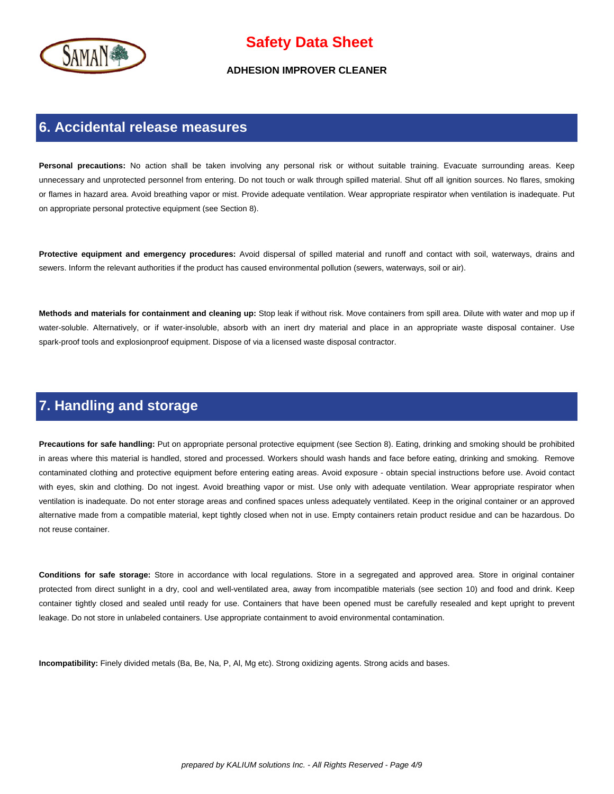

#### **ADHESION IMPROVER CLEANER**

#### **6. Accidental release measures**

Personal precautions: No action shall be taken involving any personal risk or without suitable training. Evacuate surrounding areas. Keep unnecessary and unprotected personnel from entering. Do not touch or walk through spilled material. Shut off all ignition sources. No flares, smoking or flames in hazard area. Avoid breathing vapor or mist. Provide adequate ventilation. Wear appropriate respirator when ventilation is inadequate. Put on appropriate personal protective equipment (see Section 8).

**Protective equipment and emergency procedures:** Avoid dispersal of spilled material and runoff and contact with soil, waterways, drains and sewers. Inform the relevant authorities if the product has caused environmental pollution (sewers, waterways, soil or air).

**Methods and materials for containment and cleaning up:** Stop leak if without risk. Move containers from spill area. Dilute with water and mop up if water-soluble. Alternatively, or if water-insoluble, absorb with an inert dry material and place in an appropriate waste disposal container. Use spark-proof tools and explosionproof equipment. Dispose of via a licensed waste disposal contractor.

### **7. Handling and storage**

**Precautions for safe handling:** Put on appropriate personal protective equipment (see Section 8). Eating, drinking and smoking should be prohibited in areas where this material is handled, stored and processed. Workers should wash hands and face before eating, drinking and smoking. Remove contaminated clothing and protective equipment before entering eating areas. Avoid exposure - obtain special instructions before use. Avoid contact with eyes, skin and clothing. Do not ingest. Avoid breathing vapor or mist. Use only with adequate ventilation. Wear appropriate respirator when ventilation is inadequate. Do not enter storage areas and confined spaces unless adequately ventilated. Keep in the original container or an approved alternative made from a compatible material, kept tightly closed when not in use. Empty containers retain product residue and can be hazardous. Do not reuse container.

**Conditions for safe storage:** Store in accordance with local regulations. Store in a segregated and approved area. Store in original container protected from direct sunlight in a dry, cool and well-ventilated area, away from incompatible materials (see section 10) and food and drink. Keep container tightly closed and sealed until ready for use. Containers that have been opened must be carefully resealed and kept upright to prevent leakage. Do not store in unlabeled containers. Use appropriate containment to avoid environmental contamination.

**Incompatibility:** Finely divided metals (Ba, Be, Na, P, Al, Mg etc). Strong oxidizing agents. Strong acids and bases.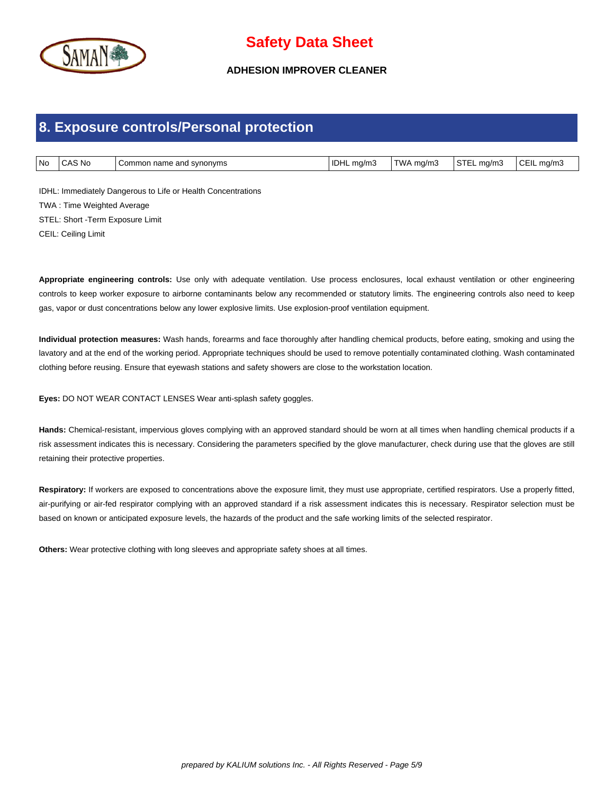

#### **ADHESION IMPROVER CLEANER**

#### **8. Exposure controls/Personal protection**

| l No | : Nc<br>تەت | and svnonvms<br>ommon name. | idhl<br>ma/m3<br>. . | TWA<br>ma/m3 | ma/m.<br>$\overline{\phantom{0}}$ | $E$ FII.<br>`ma/mJ |
|------|-------------|-----------------------------|----------------------|--------------|-----------------------------------|--------------------|

IDHL: Immediately Dangerous to Life or Health Concentrations TWA : Time Weighted Average STEL: Short -Term Exposure Limit CEIL: Ceiling Limit

**Appropriate engineering controls:** Use only with adequate ventilation. Use process enclosures, local exhaust ventilation or other engineering controls to keep worker exposure to airborne contaminants below any recommended or statutory limits. The engineering controls also need to keep gas, vapor or dust concentrations below any lower explosive limits. Use explosion-proof ventilation equipment.

**Individual protection measures:** Wash hands, forearms and face thoroughly after handling chemical products, before eating, smoking and using the lavatory and at the end of the working period. Appropriate techniques should be used to remove potentially contaminated clothing. Wash contaminated clothing before reusing. Ensure that eyewash stations and safety showers are close to the workstation location.

**Eyes:** DO NOT WEAR CONTACT LENSES Wear anti-splash safety goggles.

**Hands:** Chemical-resistant, impervious gloves complying with an approved standard should be worn at all times when handling chemical products if a risk assessment indicates this is necessary. Considering the parameters specified by the glove manufacturer, check during use that the gloves are still retaining their protective properties.

Respiratory: If workers are exposed to concentrations above the exposure limit, they must use appropriate, certified respirators. Use a properly fitted, air-purifying or air-fed respirator complying with an approved standard if a risk assessment indicates this is necessary. Respirator selection must be based on known or anticipated exposure levels, the hazards of the product and the safe working limits of the selected respirator.

**Others:** Wear protective clothing with long sleeves and appropriate safety shoes at all times.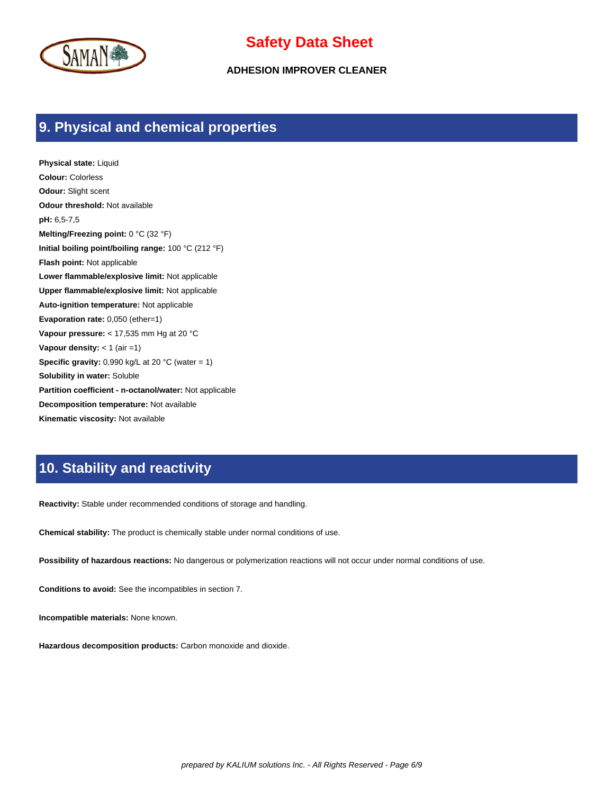

**ADHESION IMPROVER CLEANER**

### **9. Physical and chemical properties**

**Physical state:** Liquid **Colour:** Colorless **Odour:** Slight scent **Odour threshold:** Not available **pH:** 6,5-7,5 **Melting/Freezing point:** 0 °C (32 °F) **Initial boiling point/boiling range:** 100 °C (212 °F) **Flash point:** Not applicable **Lower flammable/explosive limit:** Not applicable **Upper flammable/explosive limit:** Not applicable **Auto-ignition temperature:** Not applicable **Evaporation rate:** 0,050 (ether=1) **Vapour pressure:** < 17,535 mm Hg at 20 °C **Vapour density:** < 1 (air =1) **Specific gravity:** 0,990 kg/L at 20 °C (water = 1) **Solubility in water:** Soluble **Partition coefficient - n-octanol/water:** Not applicable **Decomposition temperature:** Not available **Kinematic viscosity:** Not available

### **10. Stability and reactivity**

**Reactivity:** Stable under recommended conditions of storage and handling.

**Chemical stability:** The product is chemically stable under normal conditions of use.

**Possibility of hazardous reactions:** No dangerous or polymerization reactions will not occur under normal conditions of use.

**Conditions to avoid:** See the incompatibles in section 7.

**Incompatible materials:** None known.

**Hazardous decomposition products:** Carbon monoxide and dioxide.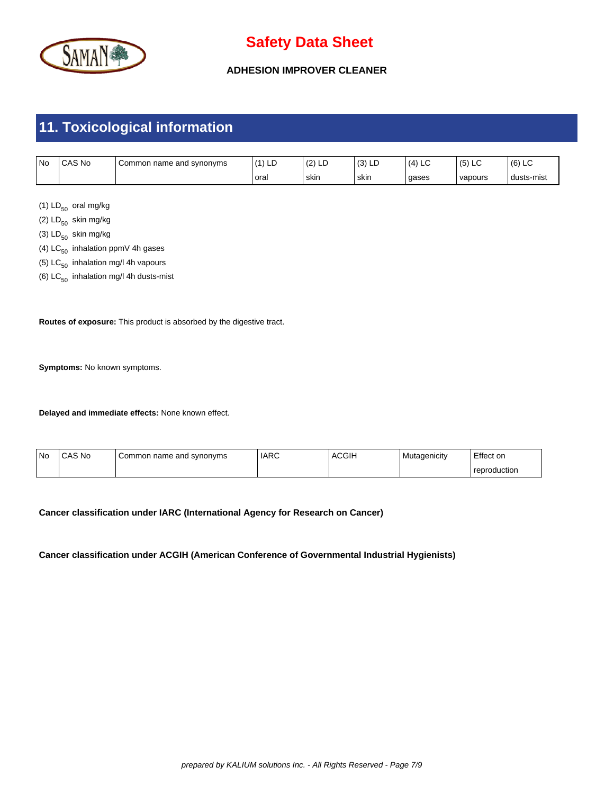

**ADHESION IMPROVER CLEANER**

# **11. Toxicological information**

| <b>No</b> | CAS No | name and synonyms<br>Commor | (4)<br>$\overline{1}$<br>니니 | (0)<br>14<br>∸ | $\sim$<br>שם וטו | ∼     | ∼∟<br>، ب | (6)<br>∼   |
|-----------|--------|-----------------------------|-----------------------------|----------------|------------------|-------|-----------|------------|
|           |        |                             | oral                        | skin           | skin             | gases | vapours   | dusts-mist |

(1)  $LD_{50}$  oral mg/kg

(2)  $LD_{50}$  skin mg/kg

- (3)  $LD_{50}$  skin mg/kg
- (4)  $LC_{50}$  inhalation ppmV 4h gases
- (5)  $LC_{50}$  inhalation mg/l 4h vapours
- (6)  $LC_{50}$  inhalation mg/l 4h dusts-mist

**Routes of exposure:** This product is absorbed by the digestive tract.

**Symptoms:** No known symptoms.

**Delayed and immediate effects:** None known effect.

| l No | CAS No | Common name and synonyms | l IARC | <b>ACGIH</b> | Mutagenicity | Effect on    |
|------|--------|--------------------------|--------|--------------|--------------|--------------|
|      |        |                          |        |              |              | reproduction |

**Cancer classification under IARC (International Agency for Research on Cancer)**

#### **Cancer classification under ACGIH (American Conference of Governmental Industrial Hygienists)**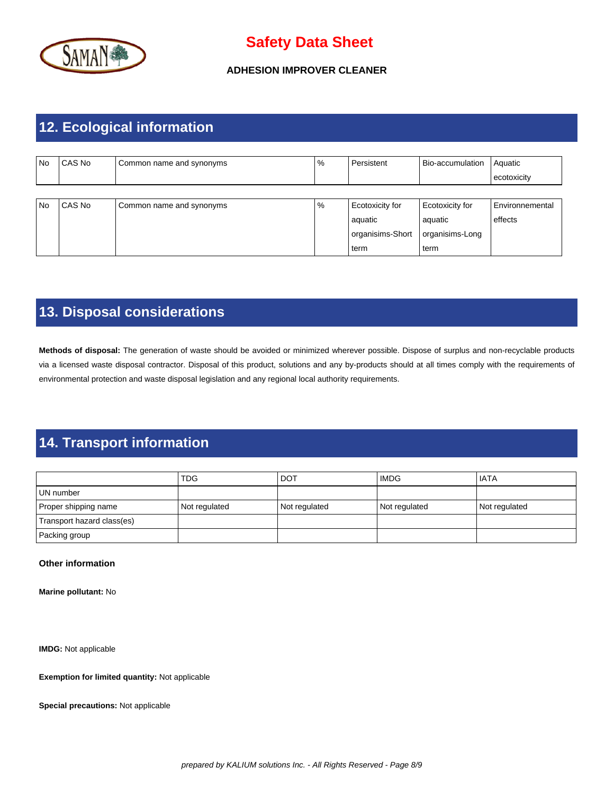

#### **ADHESION IMPROVER CLEANER**

## **12. Ecological information**

| <b>No</b> | CAS No | Common name and synonyms | $\%$ | Persistent       | Bio-accumulation | Aquatic         |
|-----------|--------|--------------------------|------|------------------|------------------|-----------------|
|           |        |                          |      |                  |                  | ecotoxicity     |
|           |        |                          |      |                  |                  |                 |
| <b>No</b> | CAS No | Common name and synonyms | $\%$ | Ecotoxicity for  | Ecotoxicity for  | Environnemental |
|           |        |                          |      | aquatic          | aquatic          | effects         |
|           |        |                          |      | organisims-Short | organisims-Long  |                 |
|           |        |                          |      | term             | term             |                 |

## **13. Disposal considerations**

**Methods of disposal:** The generation of waste should be avoided or minimized wherever possible. Dispose of surplus and non-recyclable products via a licensed waste disposal contractor. Disposal of this product, solutions and any by-products should at all times comply with the requirements of environmental protection and waste disposal legislation and any regional local authority requirements.

## **14. Transport information**

|                            | <b>TDG</b>    | <b>DOT</b>    | <b>IMDG</b>   | <b>IATA</b>   |
|----------------------------|---------------|---------------|---------------|---------------|
| l UN number                |               |               |               |               |
| Proper shipping name       | Not regulated | Not regulated | Not regulated | Not regulated |
| Transport hazard class(es) |               |               |               |               |
| Packing group              |               |               |               |               |

#### **Other information**

**Marine pollutant:** No

**IMDG:** Not applicable

**Exemption for limited quantity:** Not applicable

**Special precautions:** Not applicable